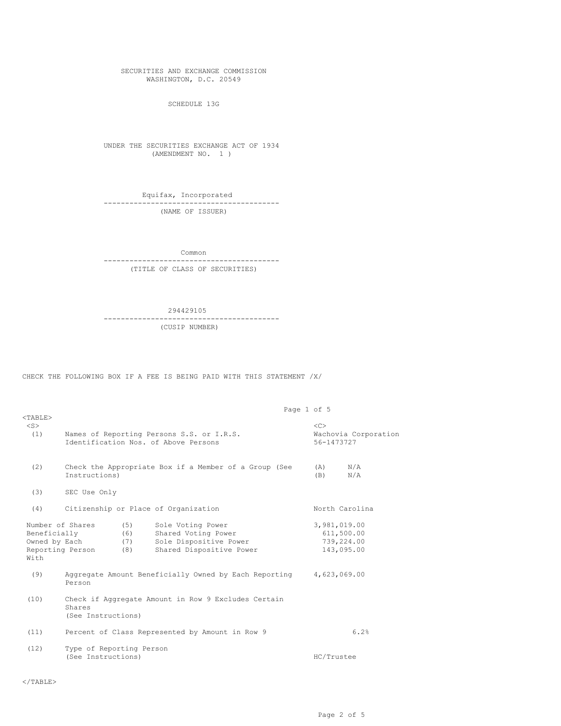SECURITIES AND EXCHANGE COMMISSION WASHINGTON, D.C. 20549

SCHEDULE 13G

UNDER THE SECURITIES EXCHANGE ACT OF 1934 (AMENDMENT NO. 1 )

Equifax, Incorporated ----------------------------------------- (NAME OF ISSUER)

Common

----------------------------------------- (TITLE OF CLASS OF SECURITIES)

294429105

----------------------------------------- (CUSIP NUMBER)

CHECK THE FOLLOWING BOX IF A FEE IS BEING PAID WITH THIS STATEMENT /X/

| $<$ TABLE>                            | Page 1 of 5<br>Names of Reporting Persons S.S. or I.R.S.<br>Identification Nos. of Above Persons |                          |                                                                                                |  |              |                                                 |  |  |
|---------------------------------------|--------------------------------------------------------------------------------------------------|--------------------------|------------------------------------------------------------------------------------------------|--|--------------|-------------------------------------------------|--|--|
| $<$ S $>$<br>(1)                      |                                                                                                  |                          |                                                                                                |  |              | $<<$ $C>$<br>Wachovia Corporation<br>56-1473727 |  |  |
| (2)                                   | Check the Appropriate Box if a Member of a Group (See<br>Instructions)                           |                          |                                                                                                |  |              | N/A<br>N/A                                      |  |  |
| (3)                                   | SEC Use Only                                                                                     |                          |                                                                                                |  |              |                                                 |  |  |
| (4)                                   | Citizenship or Place of Organization<br>North Carolina                                           |                          |                                                                                                |  |              |                                                 |  |  |
| Beneficially<br>Owned by Each<br>With | Number of Shares<br>Reporting Person                                                             | (5)<br>(6)<br>(7)<br>(8) | Sole Voting Power<br>Shared Voting Power<br>Sole Dispositive Power<br>Shared Dispositive Power |  | 3,981,019.00 | 611,500.00<br>739,224.00<br>143,095.00          |  |  |
| (9)                                   | Aggregate Amount Beneficially Owned by Each Reporting<br>4,623,069.00<br>Person                  |                          |                                                                                                |  |              |                                                 |  |  |
| (10)                                  | Check if Aggregate Amount in Row 9 Excludes Certain<br>Shares<br>(See Instructions)              |                          |                                                                                                |  |              |                                                 |  |  |
| (11)                                  | 6.2%<br>Percent of Class Represented by Amount in Row 9                                          |                          |                                                                                                |  |              |                                                 |  |  |
| (12)                                  | Type of Reporting Person<br>(See Instructions)<br>HC/Trustee                                     |                          |                                                                                                |  |              |                                                 |  |  |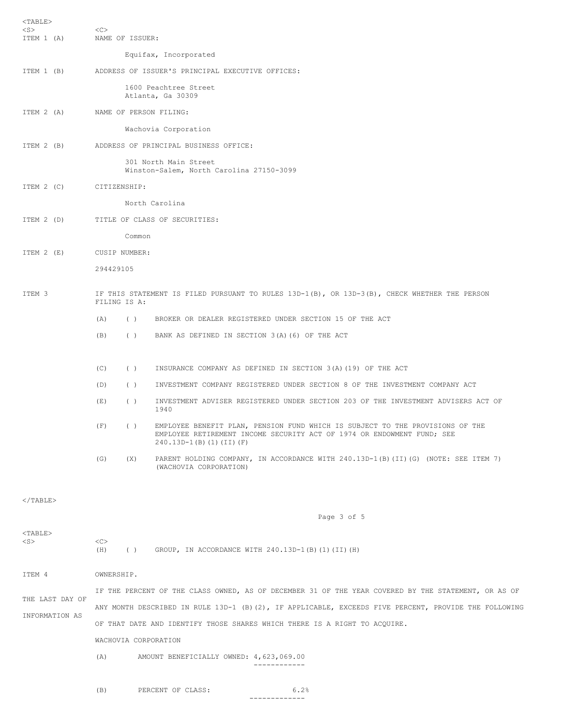| $<$ TABLE $>$<br>$<$ S $>$<br>ITEM 1 (A) | <<                                                                                                           | NAME OF ISSUER: |                                                                                                                                                                                   |  |  |  |  |  |
|------------------------------------------|--------------------------------------------------------------------------------------------------------------|-----------------|-----------------------------------------------------------------------------------------------------------------------------------------------------------------------------------|--|--|--|--|--|
|                                          | Equifax, Incorporated                                                                                        |                 |                                                                                                                                                                                   |  |  |  |  |  |
| ITEM 1 (B)                               | ADDRESS OF ISSUER'S PRINCIPAL EXECUTIVE OFFICES:                                                             |                 |                                                                                                                                                                                   |  |  |  |  |  |
|                                          | 1600 Peachtree Street<br>Atlanta, Ga 30309                                                                   |                 |                                                                                                                                                                                   |  |  |  |  |  |
| ITEM 2 (A)                               |                                                                                                              |                 | NAME OF PERSON FILING:                                                                                                                                                            |  |  |  |  |  |
|                                          | Wachovia Corporation                                                                                         |                 |                                                                                                                                                                                   |  |  |  |  |  |
| ITEM 2 (B)                               | ADDRESS OF PRINCIPAL BUSINESS OFFICE:                                                                        |                 |                                                                                                                                                                                   |  |  |  |  |  |
|                                          | 301 North Main Street<br>Winston-Salem, North Carolina 27150-3099                                            |                 |                                                                                                                                                                                   |  |  |  |  |  |
| ITEM 2 (C)                               | CITIZENSHIP:                                                                                                 |                 |                                                                                                                                                                                   |  |  |  |  |  |
|                                          | North Carolina                                                                                               |                 |                                                                                                                                                                                   |  |  |  |  |  |
| ITEM 2 (D)                               | TITLE OF CLASS OF SECURITIES:                                                                                |                 |                                                                                                                                                                                   |  |  |  |  |  |
|                                          |                                                                                                              | Common          |                                                                                                                                                                                   |  |  |  |  |  |
| ITERM 2 (E)                              | CUSIP NUMBER:                                                                                                |                 |                                                                                                                                                                                   |  |  |  |  |  |
|                                          | 294429105                                                                                                    |                 |                                                                                                                                                                                   |  |  |  |  |  |
| ITEM 3                                   | IF THIS STATEMENT IS FILED PURSUANT TO RULES 13D-1(B), OR 13D-3(B), CHECK WHETHER THE PERSON<br>FILING IS A: |                 |                                                                                                                                                                                   |  |  |  |  |  |
|                                          | (A)                                                                                                          | ( )             | BROKER OR DEALER REGISTERED UNDER SECTION 15 OF THE ACT                                                                                                                           |  |  |  |  |  |
|                                          | (B)                                                                                                          | ( )             | BANK AS DEFINED IN SECTION 3(A)(6) OF THE ACT                                                                                                                                     |  |  |  |  |  |
|                                          | (C)                                                                                                          | ( )             | INSURANCE COMPANY AS DEFINED IN SECTION 3(A) (19) OF THE ACT                                                                                                                      |  |  |  |  |  |
|                                          | (D)                                                                                                          | ( )             | INVESTMENT COMPANY REGISTERED UNDER SECTION 8 OF THE INVESTMENT COMPANY ACT                                                                                                       |  |  |  |  |  |
|                                          | (E)                                                                                                          | ( )             | INVESTMENT ADVISER REGISTERED UNDER SECTION 203 OF THE INVESTMENT ADVISERS ACT OF<br>1940                                                                                         |  |  |  |  |  |
|                                          | (F)                                                                                                          | ( )             | EMPLOYEE BENEFIT PLAN, PENSION FUND WHICH IS SUBJECT TO THE PROVISIONS OF THE<br>EMPLOYEE RETIREMENT INCOME SECURITY ACT OF 1974 OR ENDOWMENT FUND; SEE<br>240.13D-1(B)(1)(II)(F) |  |  |  |  |  |
|                                          | (G)                                                                                                          | (X)             | PARENT HOLDING COMPANY, IN ACCORDANCE WITH 240.13D-1(B) (II) (G) (NOTE: SEE ITEM 7)<br>(WACHOVIA CORPORATION)                                                                     |  |  |  |  |  |
| $\langle$ /TABLE>                        |                                                                                                              |                 |                                                                                                                                                                                   |  |  |  |  |  |
|                                          |                                                                                                              |                 | Page 3 of 5                                                                                                                                                                       |  |  |  |  |  |
| $TABLE$<br>$<$ S $>$                     | <<><br>(H)                                                                                                   |                 | () GROUP, IN ACCORDANCE WITH $240.13D-1(B)(1)(II)(H)$                                                                                                                             |  |  |  |  |  |
| ITEM 4                                   | OWNERSHIP.                                                                                                   |                 |                                                                                                                                                                                   |  |  |  |  |  |
|                                          | IF THE PERCENT OF THE CLASS OWNED, AS OF DECEMBER 31 OF THE YEAR COVERED BY THE STATEMENT, OR AS OF          |                 |                                                                                                                                                                                   |  |  |  |  |  |
| THE LAST DAY OF                          | ANY MONTH DESCRIBED IN RULE 13D-1 (B)(2), IF APPLICABLE, EXCEEDS FIVE PERCENT, PROVIDE THE FOLLOWING         |                 |                                                                                                                                                                                   |  |  |  |  |  |
| INFORMATION AS                           | OF THAT DATE AND IDENTIFY THOSE SHARES WHICH THERE IS A RIGHT TO ACQUIRE.                                    |                 |                                                                                                                                                                                   |  |  |  |  |  |
|                                          | WACHOVIA CORPORATION                                                                                         |                 |                                                                                                                                                                                   |  |  |  |  |  |
|                                          | (A)<br>AMOUNT BENEFICIALLY OWNED: 4,623,069.00<br>------------                                               |                 |                                                                                                                                                                                   |  |  |  |  |  |
|                                          | (B)                                                                                                          |                 | 6.2%<br>PERCENT OF CLASS:<br>-------------                                                                                                                                        |  |  |  |  |  |